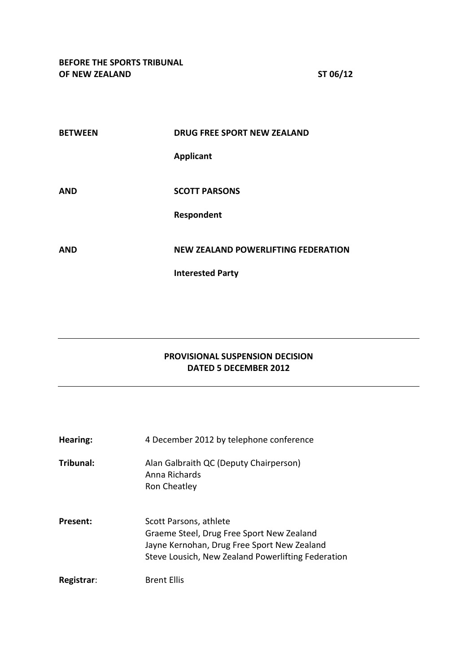| <b>BETWEEN</b> | DRUG FREE SPORT NEW ZEALAND                |
|----------------|--------------------------------------------|
|                | <b>Applicant</b>                           |
| <b>AND</b>     | <b>SCOTT PARSONS</b>                       |
|                | Respondent                                 |
| <b>AND</b>     | <b>NEW ZEALAND POWERLIFTING FEDERATION</b> |
|                | <b>Interested Party</b>                    |

## **PROVISIONAL SUSPENSION DECISION DATED 5 DECEMBER 2012**

| Hearing:   | 4 December 2012 by telephone conference                                                                                                                                  |
|------------|--------------------------------------------------------------------------------------------------------------------------------------------------------------------------|
| Tribunal:  | Alan Galbraith QC (Deputy Chairperson)<br>Anna Richards<br>Ron Cheatley                                                                                                  |
| Present:   | Scott Parsons, athlete<br>Graeme Steel, Drug Free Sport New Zealand<br>Jayne Kernohan, Drug Free Sport New Zealand<br>Steve Lousich, New Zealand Powerlifting Federation |
| Registrar: | <b>Brent Ellis</b>                                                                                                                                                       |